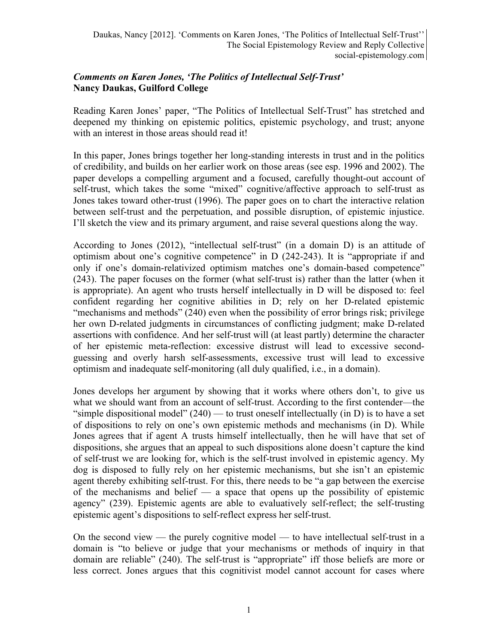## *Comments on Karen Jones, 'The Politics of Intellectual Self-Trust'* **Nancy Daukas, Guilford College**

Reading Karen Jones' paper, "The Politics of Intellectual Self-Trust" has stretched and deepened my thinking on epistemic politics, epistemic psychology, and trust; anyone with an interest in those areas should read it!

In this paper, Jones brings together her long-standing interests in trust and in the politics of credibility, and builds on her earlier work on those areas (see esp. 1996 and 2002). The paper develops a compelling argument and a focused, carefully thought-out account of self-trust, which takes the some "mixed" cognitive/affective approach to self-trust as Jones takes toward other-trust (1996). The paper goes on to chart the interactive relation between self-trust and the perpetuation, and possible disruption, of epistemic injustice. I'll sketch the view and its primary argument, and raise several questions along the way.

According to Jones (2012), "intellectual self-trust" (in a domain D) is an attitude of optimism about one's cognitive competence" in D (242-243). It is "appropriate if and only if one's domain-relativized optimism matches one's domain-based competence" (243). The paper focuses on the former (what self-trust is) rather than the latter (when it is appropriate). An agent who trusts herself intellectually in D will be disposed to: feel confident regarding her cognitive abilities in D; rely on her D-related epistemic "mechanisms and methods" (240) even when the possibility of error brings risk; privilege her own D-related judgments in circumstances of conflicting judgment; make D-related assertions with confidence. And her self-trust will (at least partly) determine the character of her epistemic meta-reflection: excessive distrust will lead to excessive secondguessing and overly harsh self-assessments, excessive trust will lead to excessive optimism and inadequate self-monitoring (all duly qualified, i.e., in a domain).

Jones develops her argument by showing that it works where others don't, to give us what we should want from an account of self-trust. According to the first contender—the "simple dispositional model"  $(240)$  — to trust oneself intellectually (in D) is to have a set of dispositions to rely on one's own epistemic methods and mechanisms (in D). While Jones agrees that if agent A trusts himself intellectually, then he will have that set of dispositions, she argues that an appeal to such dispositions alone doesn't capture the kind of self-trust we are looking for, which is the self-trust involved in epistemic agency. My dog is disposed to fully rely on her epistemic mechanisms, but she isn't an epistemic agent thereby exhibiting self-trust. For this, there needs to be "a gap between the exercise of the mechanisms and belief  $-$  a space that opens up the possibility of epistemic agency" (239). Epistemic agents are able to evaluatively self-reflect; the self-trusting epistemic agent's dispositions to self-reflect express her self-trust.

On the second view — the purely cognitive model — to have intellectual self-trust in a domain is "to believe or judge that your mechanisms or methods of inquiry in that domain are reliable" (240). The self-trust is "appropriate" iff those beliefs are more or less correct. Jones argues that this cognitivist model cannot account for cases where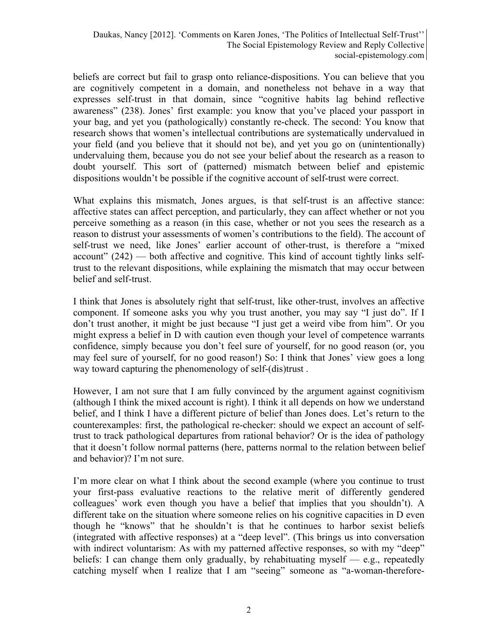beliefs are correct but fail to grasp onto reliance-dispositions. You can believe that you are cognitively competent in a domain, and nonetheless not behave in a way that expresses self-trust in that domain, since "cognitive habits lag behind reflective awareness" (238). Jones' first example: you know that you've placed your passport in your bag, and yet you (pathologically) constantly re-check. The second: You know that research shows that women's intellectual contributions are systematically undervalued in your field (and you believe that it should not be), and yet you go on (unintentionally) undervaluing them, because you do not see your belief about the research as a reason to doubt yourself. This sort of (patterned) mismatch between belief and epistemic dispositions wouldn't be possible if the cognitive account of self-trust were correct.

What explains this mismatch, Jones argues, is that self-trust is an affective stance: affective states can affect perception, and particularly, they can affect whether or not you perceive something as a reason (in this case, whether or not you sees the research as a reason to distrust your assessments of women's contributions to the field). The account of self-trust we need, like Jones' earlier account of other-trust, is therefore a "mixed  $account'' (242)$  — both affective and cognitive. This kind of account tightly links selftrust to the relevant dispositions, while explaining the mismatch that may occur between belief and self-trust.

I think that Jones is absolutely right that self-trust, like other-trust, involves an affective component. If someone asks you why you trust another, you may say "I just do". If I don't trust another, it might be just because "I just get a weird vibe from him". Or you might express a belief in D with caution even though your level of competence warrants confidence, simply because you don't feel sure of yourself, for no good reason (or, you may feel sure of yourself, for no good reason!) So: I think that Jones' view goes a long way toward capturing the phenomenology of self-(dis)trust .

However, I am not sure that I am fully convinced by the argument against cognitivism (although I think the mixed account is right). I think it all depends on how we understand belief, and I think I have a different picture of belief than Jones does. Let's return to the counterexamples: first, the pathological re-checker: should we expect an account of selftrust to track pathological departures from rational behavior? Or is the idea of pathology that it doesn't follow normal patterns (here, patterns normal to the relation between belief and behavior)? I'm not sure.

I'm more clear on what I think about the second example (where you continue to trust your first-pass evaluative reactions to the relative merit of differently gendered colleagues' work even though you have a belief that implies that you shouldn't). A different take on the situation where someone relies on his cognitive capacities in D even though he "knows" that he shouldn't is that he continues to harbor sexist beliefs (integrated with affective responses) at a "deep level". (This brings us into conversation with indirect voluntarism: As with my patterned affective responses, so with my "deep" beliefs: I can change them only gradually, by rehabituating myself  $-$  e.g., repeatedly catching myself when I realize that I am "seeing" someone as "a-woman-therefore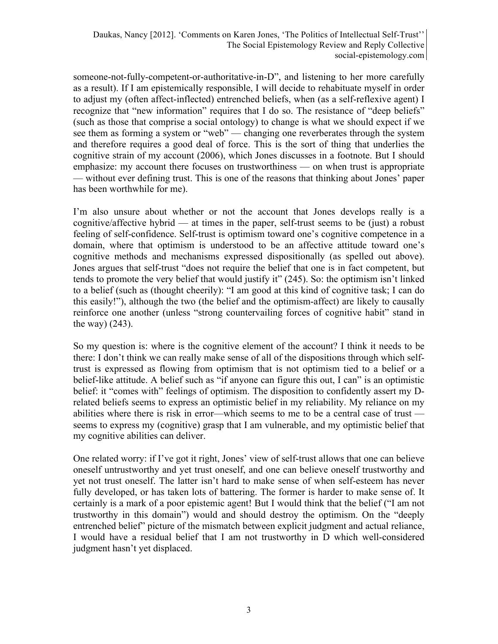Daukas, Nancy [2012]. 'Comments on Karen Jones, 'The Politics of Intellectual Self-Trust'' The Social Epistemology Review and Reply Collective social-epistemology.com

someone-not-fully-competent-or-authoritative-in-D", and listening to her more carefully as a result). If I am epistemically responsible, I will decide to rehabituate myself in order to adjust my (often affect-inflected) entrenched beliefs, when (as a self-reflexive agent) I recognize that "new information" requires that I do so. The resistance of "deep beliefs" (such as those that comprise a social ontology) to change is what we should expect if we see them as forming a system or "web" — changing one reverberates through the system and therefore requires a good deal of force. This is the sort of thing that underlies the cognitive strain of my account (2006), which Jones discusses in a footnote. But I should emphasize: my account there focuses on trustworthiness — on when trust is appropriate — without ever defining trust. This is one of the reasons that thinking about Jones' paper has been worthwhile for me).

I'm also unsure about whether or not the account that Jones develops really is a cognitive/affective hybrid — at times in the paper, self-trust seems to be (just) a robust feeling of self-confidence. Self-trust is optimism toward one's cognitive competence in a domain, where that optimism is understood to be an affective attitude toward one's cognitive methods and mechanisms expressed dispositionally (as spelled out above). Jones argues that self-trust "does not require the belief that one is in fact competent, but tends to promote the very belief that would justify it" (245). So: the optimism isn't linked to a belief (such as (thought cheerily): "I am good at this kind of cognitive task; I can do this easily!"), although the two (the belief and the optimism-affect) are likely to causally reinforce one another (unless "strong countervailing forces of cognitive habit" stand in the way) (243).

So my question is: where is the cognitive element of the account? I think it needs to be there: I don't think we can really make sense of all of the dispositions through which selftrust is expressed as flowing from optimism that is not optimism tied to a belief or a belief-like attitude. A belief such as "if anyone can figure this out, I can" is an optimistic belief: it "comes with" feelings of optimism. The disposition to confidently assert my Drelated beliefs seems to express an optimistic belief in my reliability. My reliance on my abilities where there is risk in error—which seems to me to be a central case of trust seems to express my (cognitive) grasp that I am vulnerable, and my optimistic belief that my cognitive abilities can deliver.

One related worry: if I've got it right, Jones' view of self-trust allows that one can believe oneself untrustworthy and yet trust oneself, and one can believe oneself trustworthy and yet not trust oneself. The latter isn't hard to make sense of when self-esteem has never fully developed, or has taken lots of battering. The former is harder to make sense of. It certainly is a mark of a poor epistemic agent! But I would think that the belief ("I am not trustworthy in this domain") would and should destroy the optimism. On the "deeply entrenched belief" picture of the mismatch between explicit judgment and actual reliance, I would have a residual belief that I am not trustworthy in D which well-considered judgment hasn't yet displaced.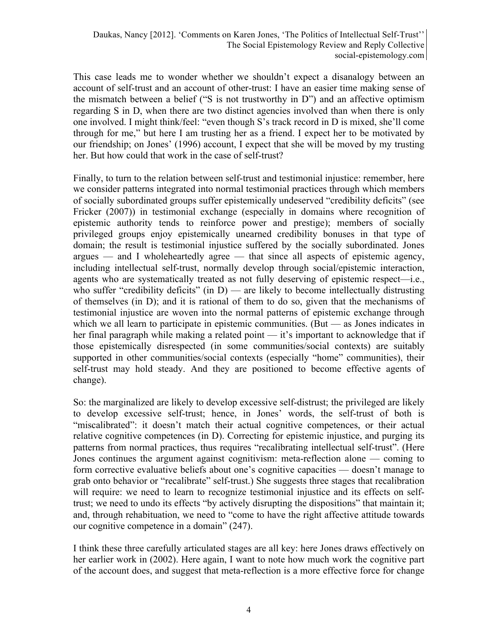This case leads me to wonder whether we shouldn't expect a disanalogy between an account of self-trust and an account of other-trust: I have an easier time making sense of the mismatch between a belief ("S is not trustworthy in D") and an affective optimism regarding S in D, when there are two distinct agencies involved than when there is only one involved. I might think/feel: "even though S's track record in D is mixed, she'll come through for me," but here I am trusting her as a friend. I expect her to be motivated by our friendship; on Jones' (1996) account, I expect that she will be moved by my trusting her. But how could that work in the case of self-trust?

Finally, to turn to the relation between self-trust and testimonial injustice: remember, here we consider patterns integrated into normal testimonial practices through which members of socially subordinated groups suffer epistemically undeserved "credibility deficits" (see Fricker (2007)) in testimonial exchange (especially in domains where recognition of epistemic authority tends to reinforce power and prestige); members of socially privileged groups enjoy epistemically unearned credibility bonuses in that type of domain; the result is testimonial injustice suffered by the socially subordinated. Jones argues — and I wholeheartedly agree — that since all aspects of epistemic agency, including intellectual self-trust, normally develop through social/epistemic interaction, agents who are systematically treated as not fully deserving of epistemic respect—i.e., who suffer "credibility deficits" (in  $D$ ) — are likely to become intellectually distrusting of themselves (in D); and it is rational of them to do so, given that the mechanisms of testimonial injustice are woven into the normal patterns of epistemic exchange through which we all learn to participate in epistemic communities. (But — as Jones indicates in her final paragraph while making a related point — it's important to acknowledge that if those epistemically disrespected (in some communities/social contexts) are suitably supported in other communities/social contexts (especially "home" communities), their self-trust may hold steady. And they are positioned to become effective agents of change).

So: the marginalized are likely to develop excessive self-distrust; the privileged are likely to develop excessive self-trust; hence, in Jones' words, the self-trust of both is "miscalibrated": it doesn't match their actual cognitive competences, or their actual relative cognitive competences (in D). Correcting for epistemic injustice, and purging its patterns from normal practices, thus requires "recalibrating intellectual self-trust". (Here Jones continues the argument against cognitivism: meta-reflection alone — coming to form corrective evaluative beliefs about one's cognitive capacities — doesn't manage to grab onto behavior or "recalibrate" self-trust.) She suggests three stages that recalibration will require: we need to learn to recognize testimonial injustice and its effects on selftrust; we need to undo its effects "by actively disrupting the dispositions" that maintain it; and, through rehabituation, we need to "come to have the right affective attitude towards our cognitive competence in a domain" (247).

I think these three carefully articulated stages are all key: here Jones draws effectively on her earlier work in (2002). Here again, I want to note how much work the cognitive part of the account does, and suggest that meta-reflection is a more effective force for change